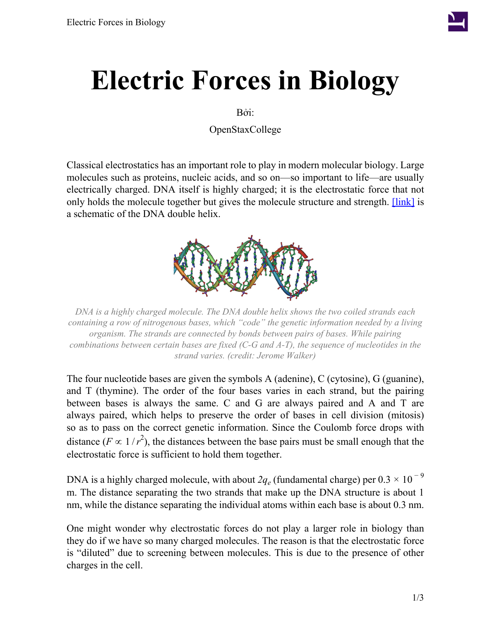

# **Electric Forces in Biology**

#### Bởi:

OpenStaxCollege

Classical electrostatics has an important role to play in modern molecular biology. Large molecules such as proteins, nucleic acids, and so on—so important to life—are usually electrically charged. DNA itself is highly charged; it is the electrostatic force that not only holds the molecule together but gives the molecule structure and strength. [\[link\]](#page-0-0) is a schematic of the DNA double helix.

<span id="page-0-0"></span>

*DNA is a highly charged molecule. The DNA double helix shows the two coiled strands each containing a row of nitrogenous bases, which "code" the genetic information needed by a living organism. The strands are connected by bonds between pairs of bases. While pairing combinations between certain bases are fixed (C-G and A-T), the sequence of nucleotides in the strand varies. (credit: Jerome Walker)*

The four nucleotide bases are given the symbols A (adenine), C (cytosine), G (guanine), and T (thymine). The order of the four bases varies in each strand, but the pairing between bases is always the same. C and G are always paired and A and T are always paired, which helps to preserve the order of bases in cell division (mitosis) so as to pass on the correct genetic information. Since the Coulomb force drops with distance ( $F \propto 1/r^2$ ), the distances between the base pairs must be small enough that the electrostatic force is sufficient to hold them together.

DNA is a highly charged molecule, with about  $2q_e$  (fundamental charge) per  $0.3 \times 10^{-9}$ m. The distance separating the two strands that make up the DNA structure is about 1 nm, while the distance separating the individual atoms within each base is about 0.3 nm.

One might wonder why electrostatic forces do not play a larger role in biology than they do if we have so many charged molecules. The reason is that the electrostatic force is "diluted" due to screening between molecules. This is due to the presence of other charges in the cell.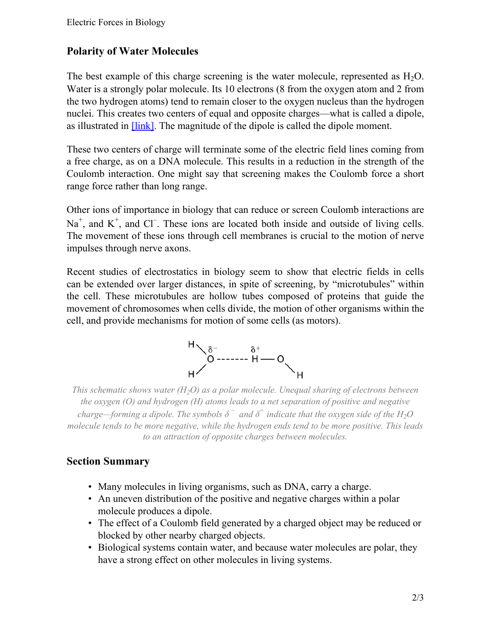## **Polarity of Water Molecules**

The best example of this charge screening is the water molecule, represented as  $H_2O$ . Water is a strongly polar molecule. Its 10 electrons (8 from the oxygen atom and 2 from the two hydrogen atoms) tend to remain closer to the oxygen nucleus than the hydrogen nuclei. This creates two centers of equal and opposite charges—what is called a dipole, as illustrated in [\[link\].](#page-1-0) The magnitude of the dipole is called the dipole moment.

These two centers of charge will terminate some of the electric field lines coming from a free charge, as on a DNA molecule. This results in a reduction in the strength of the Coulomb interaction. One might say that screening makes the Coulomb force a short range force rather than long range.

Other ions of importance in biology that can reduce or screen Coulomb interactions are  $Na<sup>+</sup>$ , and  $K<sup>+</sup>$ , and Cl<sup>-</sup>. These ions are located both inside and outside of living cells. The movement of these ions through cell membranes is crucial to the motion of nerve impulses through nerve axons.

Recent studies of electrostatics in biology seem to show that electric fields in cells can be extended over larger distances, in spite of screening, by "microtubules" within the cell. These microtubules are hollow tubes composed of proteins that guide the movement of chromosomes when cells divide, the motion of other organisms within the cell, and provide mechanisms for motion of some cells (as motors).



<span id="page-1-0"></span>*This schematic shows water (H2O) as a polar molecule. Unequal sharing of electrons between the oxygen (O) and hydrogen (H) atoms leads to a net separation of positive and negative charge—forming a dipole. The symbols*  $\delta^-$  and  $\delta^+$  indicate that the oxygen side of the H<sub>2</sub>O *molecule tends to be more negative, while the hydrogen ends tend to be more positive. This leads to an attraction of opposite charges between molecules.*

#### **Section Summary**

- Many molecules in living organisms, such as DNA, carry a charge.
- An uneven distribution of the positive and negative charges within a polar molecule produces a dipole.
- The effect of a Coulomb field generated by a charged object may be reduced or blocked by other nearby charged objects.
- Biological systems contain water, and because water molecules are polar, they have a strong effect on other molecules in living systems.